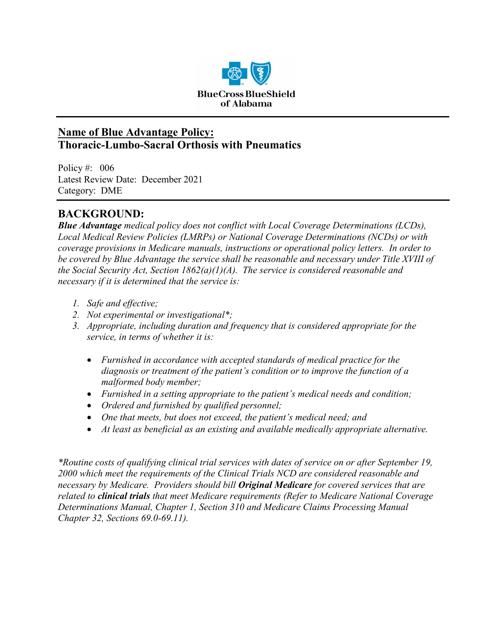

# **Name of Blue Advantage Policy: Thoracic-Lumbo-Sacral Orthosis with Pneumatics**

Policy #: 006 Latest Review Date: December 2021 Category: DME

# **BACKGROUND:**

*Blue Advantage medical policy does not conflict with Local Coverage Determinations (LCDs), Local Medical Review Policies (LMRPs) or National Coverage Determinations (NCDs) or with coverage provisions in Medicare manuals, instructions or operational policy letters. In order to be covered by Blue Advantage the service shall be reasonable and necessary under Title XVIII of the Social Security Act, Section 1862(a)(1)(A). The service is considered reasonable and necessary if it is determined that the service is:*

- *1. Safe and effective;*
- *2. Not experimental or investigational\*;*
- *3. Appropriate, including duration and frequency that is considered appropriate for the service, in terms of whether it is:*
	- *Furnished in accordance with accepted standards of medical practice for the diagnosis or treatment of the patient's condition or to improve the function of a malformed body member;*
	- *Furnished in a setting appropriate to the patient's medical needs and condition;*
	- *Ordered and furnished by qualified personnel;*
	- *One that meets, but does not exceed, the patient's medical need; and*
	- *At least as beneficial as an existing and available medically appropriate alternative.*

*\*Routine costs of qualifying clinical trial services with dates of service on or after September 19, 2000 which meet the requirements of the Clinical Trials NCD are considered reasonable and necessary by Medicare. Providers should bill Original Medicare for covered services that are related to clinical trials that meet Medicare requirements (Refer to Medicare National Coverage Determinations Manual, Chapter 1, Section 310 and Medicare Claims Processing Manual Chapter 32, Sections 69.0-69.11).*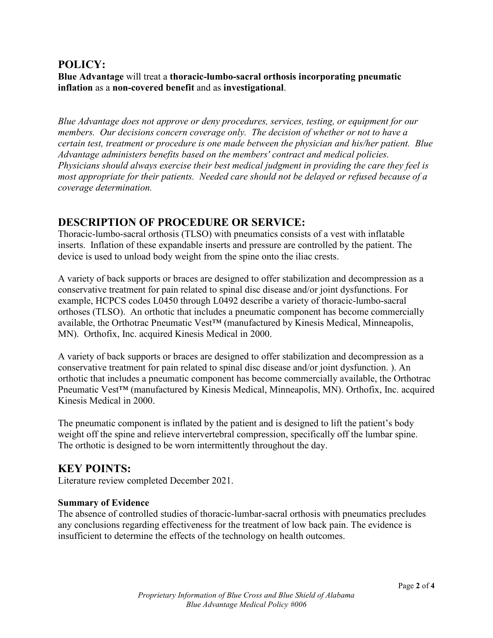### **POLICY:**

**Blue Advantage** will treat a **thoracic-lumbo-sacral orthosis incorporating pneumatic inflation** as a **non-covered benefit** and as **investigational**.

*Blue Advantage does not approve or deny procedures, services, testing, or equipment for our members. Our decisions concern coverage only. The decision of whether or not to have a certain test, treatment or procedure is one made between the physician and his/her patient. Blue Advantage administers benefits based on the members' contract and medical policies. Physicians should always exercise their best medical judgment in providing the care they feel is most appropriate for their patients. Needed care should not be delayed or refused because of a coverage determination.*

## **DESCRIPTION OF PROCEDURE OR SERVICE:**

Thoracic-lumbo-sacral orthosis (TLSO) with pneumatics consists of a vest with inflatable inserts. Inflation of these expandable inserts and pressure are controlled by the patient. The device is used to unload body weight from the spine onto the iliac crests.

A variety of back supports or braces are designed to offer stabilization and decompression as a conservative treatment for pain related to spinal disc disease and/or joint dysfunctions. For example, HCPCS codes L0450 through L0492 describe a variety of thoracic-lumbo-sacral orthoses (TLSO). An orthotic that includes a pneumatic component has become commercially available, the Orthotrac Pneumatic Vest™ (manufactured by Kinesis Medical, Minneapolis, MN). Orthofix, Inc. acquired Kinesis Medical in 2000.

A variety of back supports or braces are designed to offer stabilization and decompression as a conservative treatment for pain related to spinal disc disease and/or joint dysfunction. ). An orthotic that includes a pneumatic component has become commercially available, the Orthotrac Pneumatic Vest™ (manufactured by Kinesis Medical, Minneapolis, MN). Orthofix, Inc. acquired Kinesis Medical in 2000.

The pneumatic component is inflated by the patient and is designed to lift the patient's body weight off the spine and relieve intervertebral compression, specifically off the lumbar spine. The orthotic is designed to be worn intermittently throughout the day.

### **KEY POINTS:**

Literature review completed December 2021.

#### **Summary of Evidence**

The absence of controlled studies of thoracic-lumbar-sacral orthosis with pneumatics precludes any conclusions regarding effectiveness for the treatment of low back pain. The evidence is insufficient to determine the effects of the technology on health outcomes.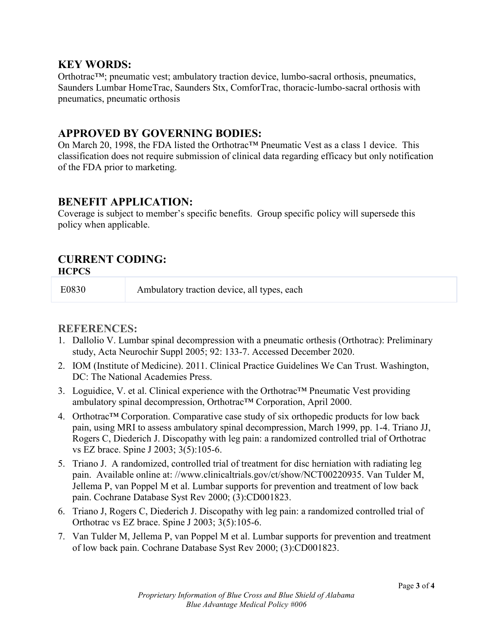### **KEY WORDS:**

Orthotrac™; pneumatic vest; ambulatory traction device, lumbo-sacral orthosis, pneumatics, Saunders Lumbar HomeTrac, Saunders Stx, ComforTrac, thoracic-lumbo-sacral orthosis with pneumatics, pneumatic orthosis

#### **APPROVED BY GOVERNING BODIES:**

On March 20, 1998, the FDA listed the Orthotrac™ Pneumatic Vest as a class 1 device. This classification does not require submission of clinical data regarding efficacy but only notification of the FDA prior to marketing.

#### **BENEFIT APPLICATION:**

Coverage is subject to member's specific benefits. Group specific policy will supersede this policy when applicable.

#### **CURRENT CODING: HCPCS**

E0830 Ambulatory traction device, all types, each

### **REFERENCES:**

- 1. Dallolio V. Lumbar spinal decompression with a pneumatic orthesis (Orthotrac): Preliminary study, Acta Neurochir Suppl 2005; 92: 133-7. Accessed December 2020.
- 2. IOM (Institute of Medicine). 2011. Clinical Practice Guidelines We Can Trust. Washington, DC: The National Academies Press.
- 3. Loguidice, V. et al. Clinical experience with the Orthotrac™ Pneumatic Vest providing ambulatory spinal decompression, Orthotrac™ Corporation, April 2000.
- 4. Orthotrac™ Corporation. Comparative case study of six orthopedic products for low back pain, using MRI to assess ambulatory spinal decompression, March 1999, pp. 1-4. Triano JJ, Rogers C, Diederich J. Discopathy with leg pain: a randomized controlled trial of Orthotrac vs EZ brace. Spine J 2003; 3(5):105-6.
- 5. Triano J. A randomized, controlled trial of treatment for disc herniation with radiating leg pain. Available online at: //www.clinicaltrials.gov/ct/show/NCT00220935. Van Tulder M, Jellema P, van Poppel M et al. Lumbar supports for prevention and treatment of low back pain. Cochrane Database Syst Rev 2000; (3):CD001823.
- 6. Triano J, Rogers C, Diederich J. Discopathy with leg pain: a randomized controlled trial of Orthotrac vs EZ brace. Spine J 2003; 3(5):105-6.
- 7. Van Tulder M, Jellema P, van Poppel M et al. Lumbar supports for prevention and treatment of low back pain. Cochrane Database Syst Rev 2000; (3):CD001823.